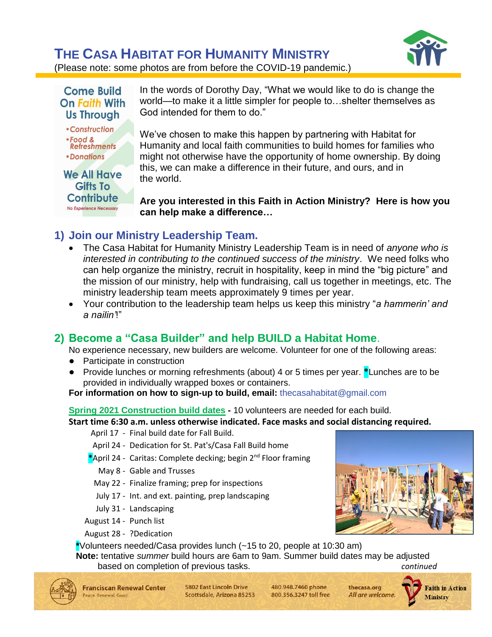# **THE CASA HABITAT FOR HUMANITY MINISTRY**



(Please note: some photos are from before the COVID-19 pandemic.)



In the words of Dorothy Day, "What we would like to do is change the world—to make it a little simpler for people to…shelter themselves as God intended for them to do."

We've chosen to make this happen by partnering with Habitat for Humanity and local faith communities to build homes for families who might not otherwise have the opportunity of home ownership. By doing this, we can make a difference in their future, and ours, and in the world.

**Are you interested in this Faith in Action Ministry? Here is how you can help make a difference…**

# **1) Join our Ministry Leadership Team.**

- The Casa Habitat for Humanity Ministry Leadership Team is in need of *anyone who is interested in contributing to the continued success of the ministry*. We need folks who can help organize the ministry, recruit in hospitality, keep in mind the "big picture" and the mission of our ministry, help with fundraising, call us together in meetings, etc. The ministry leadership team meets approximately 9 times per year.
- Your contribution to the leadership team helps us keep this ministry "*a hammerin' and a nailin'*!"

## **2) Become a "Casa Builder" and help BUILD a Habitat Home**.

No experience necessary, new builders are welcome. Volunteer for one of the following areas:

- Participate in construction
- Provide lunches or morning refreshments (about) 4 or 5 times per year. **\***Lunches are to be provided in individually wrapped boxes or containers.

#### **For information on how to sign-up to build, email:** [thecasahabitat@gmail.com](mailto:thecasahabitat@gmail.com)

#### **Spring 2021 Construction build dates -** 10 volunteers are needed for each build.

**Start time 6:30 a.m. unless otherwise indicated. Face masks and social distancing required.**

April 17 - Final build date for Fall Build.

- April 24 Dedication for St. Pat's/Casa Fall Build home
- **\***April 24 Caritas: Complete decking; begin 2nd Floor framing

May 8 - Gable and Trusses

- May 22 Finalize framing; prep for inspections
- July 17 Int. and ext. painting, prep landscaping
- July 31 Landscaping
- August 14 Punch list
- August 28 ?Dedication

**\***Volunteers needed/Casa provides lunch (~15 to 20, people at 10:30 am)

**Note:** tentative *summer* build hours are 6am to 9am. Summer build dates may be adjusted based on completion of previous tasks. *continued*



5802 Fast Lincoln Drive Scottsdale, Arizona 85253 480.948.7460 phone 800.356.3247 toll free

thecasa.org All are welcome.